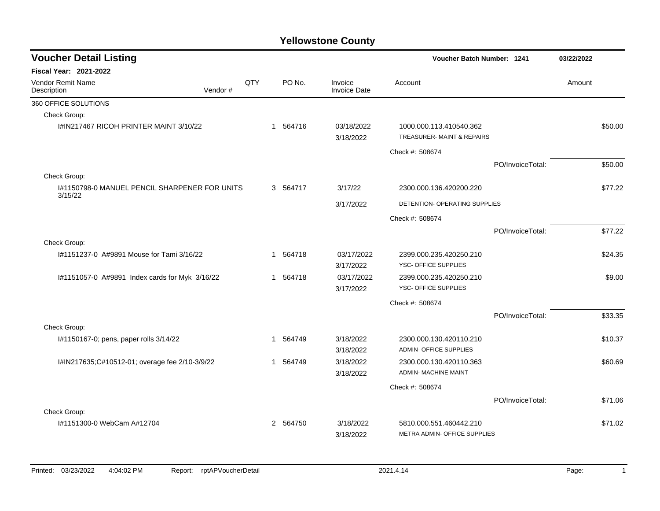| <b>Voucher Detail Listing</b>                  |         |     |          |                                | <b>Voucher Batch Number: 1241</b>                      |                  | 03/22/2022 |         |
|------------------------------------------------|---------|-----|----------|--------------------------------|--------------------------------------------------------|------------------|------------|---------|
| <b>Fiscal Year: 2021-2022</b>                  |         |     |          |                                |                                                        |                  |            |         |
| Vendor Remit Name<br>Description               | Vendor# | QTY | PO No.   | Invoice<br><b>Invoice Date</b> | Account                                                |                  | Amount     |         |
| 360 OFFICE SOLUTIONS                           |         |     |          |                                |                                                        |                  |            |         |
| Check Group:                                   |         |     |          |                                |                                                        |                  |            |         |
| I#IN217467 RICOH PRINTER MAINT 3/10/22         |         |     | 1 564716 | 03/18/2022<br>3/18/2022        | 1000.000.113.410540.362<br>TREASURER- MAINT & REPAIRS  |                  |            | \$50.00 |
|                                                |         |     |          |                                | Check #: 508674                                        |                  |            |         |
|                                                |         |     |          |                                |                                                        | PO/InvoiceTotal: |            | \$50.00 |
| Check Group:                                   |         |     |          |                                |                                                        |                  |            |         |
| 1#1150798-0 MANUEL PENCIL SHARPENER FOR UNITS  |         |     | 3 564717 | 3/17/22                        | 2300.000.136.420200.220                                |                  |            | \$77.22 |
| 3/15/22                                        |         |     |          | 3/17/2022                      | DETENTION- OPERATING SUPPLIES                          |                  |            |         |
|                                                |         |     |          |                                | Check #: 508674                                        |                  |            |         |
|                                                |         |     |          |                                |                                                        | PO/InvoiceTotal: |            | \$77.22 |
| Check Group:                                   |         |     |          |                                |                                                        |                  |            |         |
| #1151237-0 A#9891 Mouse for Tami 3/16/22       |         |     | 1 564718 | 03/17/2022                     | 2399.000.235.420250.210                                |                  |            | \$24.35 |
|                                                |         |     |          | 3/17/2022                      | YSC- OFFICE SUPPLIES                                   |                  |            |         |
| I#1151057-0 A#9891 Index cards for Myk 3/16/22 |         |     | 1 564718 | 03/17/2022                     | 2399.000.235.420250.210                                |                  |            | \$9.00  |
|                                                |         |     |          | 3/17/2022                      | YSC- OFFICE SUPPLIES                                   |                  |            |         |
|                                                |         |     |          |                                | Check #: 508674                                        |                  |            |         |
|                                                |         |     |          |                                |                                                        | PO/InvoiceTotal: |            | \$33.35 |
| Check Group:                                   |         |     |          |                                |                                                        |                  |            |         |
| I#1150167-0; pens, paper rolls 3/14/22         |         |     | 1 564749 | 3/18/2022                      | 2300.000.130.420110.210                                |                  |            | \$10.37 |
|                                                |         |     |          | 3/18/2022                      | <b>ADMIN- OFFICE SUPPLIES</b>                          |                  |            |         |
| I#IN217635;C#10512-01; overage fee 2/10-3/9/22 |         |     | 1 564749 | 3/18/2022<br>3/18/2022         | 2300.000.130.420110.363<br><b>ADMIN- MACHINE MAINT</b> |                  |            | \$60.69 |
|                                                |         |     |          |                                |                                                        |                  |            |         |
|                                                |         |     |          |                                | Check #: 508674                                        |                  |            |         |
|                                                |         |     |          |                                |                                                        | PO/InvoiceTotal: |            | \$71.06 |
| Check Group:<br>1#1151300-0 WebCam A#12704     |         |     | 2 564750 | 3/18/2022                      | 5810.000.551.460442.210                                |                  |            | \$71.02 |
|                                                |         |     |          | 3/18/2022                      | METRA ADMIN- OFFICE SUPPLIES                           |                  |            |         |
|                                                |         |     |          |                                |                                                        |                  |            |         |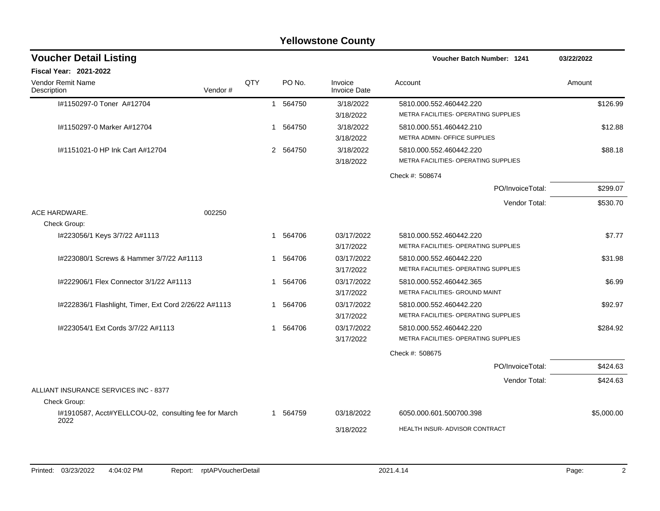|                                                       |         |     |   |          | <b>Yellowstone County</b>      |                                      |            |
|-------------------------------------------------------|---------|-----|---|----------|--------------------------------|--------------------------------------|------------|
| <b>Voucher Detail Listing</b>                         |         |     |   |          |                                | Voucher Batch Number: 1241           | 03/22/2022 |
| <b>Fiscal Year: 2021-2022</b>                         |         |     |   |          |                                |                                      |            |
| Vendor Remit Name<br>Description                      | Vendor# | QTY |   | PO No.   | Invoice<br><b>Invoice Date</b> | Account                              | Amount     |
| I#1150297-0 Toner A#12704                             |         |     |   | 1 564750 | 3/18/2022                      | 5810.000.552.460442.220              | \$126.99   |
|                                                       |         |     |   |          | 3/18/2022                      | METRA FACILITIES- OPERATING SUPPLIES |            |
| I#1150297-0 Marker A#12704                            |         |     | 1 | 564750   | 3/18/2022                      | 5810.000.551.460442.210              | \$12.88    |
|                                                       |         |     |   |          | 3/18/2022                      | METRA ADMIN- OFFICE SUPPLIES         |            |
| #1151021-0 HP Ink Cart A#12704                        |         |     |   | 2 564750 | 3/18/2022                      | 5810.000.552.460442.220              | \$88.18    |
|                                                       |         |     |   |          | 3/18/2022                      | METRA FACILITIES- OPERATING SUPPLIES |            |
|                                                       |         |     |   |          |                                | Check #: 508674                      |            |
|                                                       |         |     |   |          |                                | PO/InvoiceTotal:                     | \$299.07   |
|                                                       |         |     |   |          |                                | Vendor Total:                        | \$530.70   |
| ACE HARDWARE.                                         | 002250  |     |   |          |                                |                                      |            |
| Check Group:                                          |         |     |   |          |                                |                                      |            |
| I#223056/1 Keys 3/7/22 A#1113                         |         |     |   | 1 564706 | 03/17/2022                     | 5810.000.552.460442.220              | \$7.77     |
|                                                       |         |     |   |          | 3/17/2022                      | METRA FACILITIES- OPERATING SUPPLIES |            |
| I#223080/1 Screws & Hammer 3/7/22 A#1113              |         |     | 1 | 564706   | 03/17/2022                     | 5810.000.552.460442.220              | \$31.98    |
|                                                       |         |     |   |          | 3/17/2022                      | METRA FACILITIES- OPERATING SUPPLIES |            |
| I#222906/1 Flex Connector 3/1/22 A#1113               |         |     | 1 | 564706   | 03/17/2022                     | 5810.000.552.460442.365              | \$6.99     |
|                                                       |         |     |   |          | 3/17/2022                      | METRA FACILITIES- GROUND MAINT       |            |
| I#222836/1 Flashlight, Timer, Ext Cord 2/26/22 A#1113 |         |     | 1 | 564706   | 03/17/2022                     | 5810.000.552.460442.220              | \$92.97    |
|                                                       |         |     |   |          | 3/17/2022                      | METRA FACILITIES- OPERATING SUPPLIES |            |
| I#223054/1 Ext Cords 3/7/22 A#1113                    |         |     | 1 | 564706   | 03/17/2022                     | 5810.000.552.460442.220              | \$284.92   |
|                                                       |         |     |   |          | 3/17/2022                      | METRA FACILITIES- OPERATING SUPPLIES |            |
|                                                       |         |     |   |          |                                | Check #: 508675                      |            |
|                                                       |         |     |   |          |                                | PO/InvoiceTotal:                     | \$424.63   |
|                                                       |         |     |   |          |                                | Vendor Total:                        | \$424.63   |
| ALLIANT INSURANCE SERVICES INC - 8377                 |         |     |   |          |                                |                                      |            |
| Check Group:                                          |         |     |   |          |                                |                                      |            |
| I#1910587, Acct#YELLCOU-02, consulting fee for March  |         |     | 1 | 564759   | 03/18/2022                     | 6050.000.601.500700.398              | \$5,000.00 |
| 2022                                                  |         |     |   |          | 3/18/2022                      | HEALTH INSUR- ADVISOR CONTRACT       |            |
|                                                       |         |     |   |          |                                |                                      |            |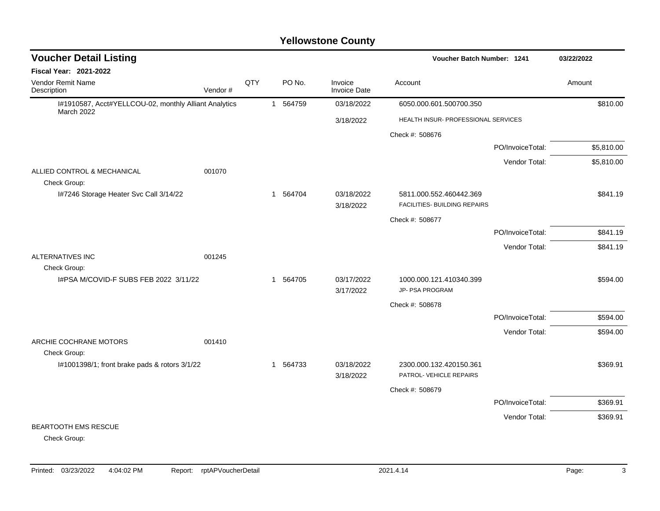| <b>Voucher Detail Listing</b>                                              |         |     |              |          |                                | Voucher Batch Number: 1241                              |                  | 03/22/2022 |
|----------------------------------------------------------------------------|---------|-----|--------------|----------|--------------------------------|---------------------------------------------------------|------------------|------------|
| <b>Fiscal Year: 2021-2022</b>                                              |         |     |              |          |                                |                                                         |                  |            |
| Vendor Remit Name<br>Description                                           | Vendor# | QTY |              | PO No.   | Invoice<br><b>Invoice Date</b> | Account                                                 |                  | Amount     |
| I#1910587, Acct#YELLCOU-02, monthly Alliant Analytics<br><b>March 2022</b> |         |     | $\mathbf{1}$ | 564759   | 03/18/2022                     | 6050.000.601.500700.350                                 |                  | \$810.00   |
|                                                                            |         |     |              |          | 3/18/2022                      | HEALTH INSUR- PROFESSIONAL SERVICES                     |                  |            |
|                                                                            |         |     |              |          |                                | Check #: 508676                                         |                  |            |
|                                                                            |         |     |              |          |                                |                                                         | PO/InvoiceTotal: | \$5,810.00 |
|                                                                            |         |     |              |          |                                |                                                         | Vendor Total:    | \$5,810.00 |
| ALLIED CONTROL & MECHANICAL<br>Check Group:                                | 001070  |     |              |          |                                |                                                         |                  |            |
| I#7246 Storage Heater Svc Call 3/14/22                                     |         |     | 1            | 564704   | 03/18/2022<br>3/18/2022        | 5811.000.552.460442.369<br>FACILITIES- BUILDING REPAIRS |                  | \$841.19   |
|                                                                            |         |     |              |          |                                | Check #: 508677                                         |                  |            |
|                                                                            |         |     |              |          |                                |                                                         | PO/InvoiceTotal: | \$841.19   |
|                                                                            |         |     |              |          |                                |                                                         | Vendor Total:    | \$841.19   |
| ALTERNATIVES INC                                                           | 001245  |     |              |          |                                |                                                         |                  |            |
| Check Group:                                                               |         |     |              |          |                                |                                                         |                  |            |
| I#PSA M/COVID-F SUBS FEB 2022 3/11/22                                      |         |     |              | 1 564705 | 03/17/2022<br>3/17/2022        | 1000.000.121.410340.399<br>JP- PSA PROGRAM              |                  | \$594.00   |
|                                                                            |         |     |              |          |                                | Check #: 508678                                         |                  |            |
|                                                                            |         |     |              |          |                                |                                                         | PO/InvoiceTotal: | \$594.00   |
|                                                                            |         |     |              |          |                                |                                                         | Vendor Total:    | \$594.00   |
| ARCHIE COCHRANE MOTORS<br>Check Group:                                     | 001410  |     |              |          |                                |                                                         |                  |            |
| I#1001398/1; front brake pads & rotors 3/1/22                              |         |     |              | 1 564733 | 03/18/2022                     | 2300.000.132.420150.361                                 |                  | \$369.91   |
|                                                                            |         |     |              |          | 3/18/2022                      | PATROL- VEHICLE REPAIRS                                 |                  |            |
|                                                                            |         |     |              |          |                                | Check #: 508679                                         |                  |            |
|                                                                            |         |     |              |          |                                |                                                         | PO/InvoiceTotal: | \$369.91   |
|                                                                            |         |     |              |          |                                |                                                         | Vendor Total:    | \$369.91   |
| BEARTOOTH EMS RESCUE<br>$\sim$ $\sim$ $\sim$                               |         |     |              |          |                                |                                                         |                  |            |

Check Group: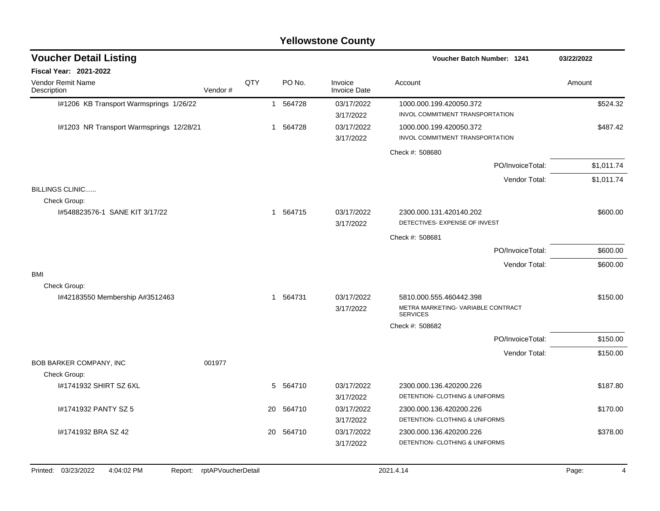|                                          |         |     |              |           | <b>Yellowstone County</b>      |                                                                                  |            |
|------------------------------------------|---------|-----|--------------|-----------|--------------------------------|----------------------------------------------------------------------------------|------------|
| <b>Voucher Detail Listing</b>            |         |     |              |           |                                | Voucher Batch Number: 1241                                                       | 03/22/2022 |
| <b>Fiscal Year: 2021-2022</b>            |         |     |              |           |                                |                                                                                  |            |
| Vendor Remit Name<br>Description         | Vendor# | QTY |              | PO No.    | Invoice<br><b>Invoice Date</b> | Account                                                                          | Amount     |
| I#1206 KB Transport Warmsprings 1/26/22  |         |     | $\mathbf{1}$ | 564728    | 03/17/2022                     | 1000.000.199.420050.372                                                          | \$524.32   |
|                                          |         |     |              |           | 3/17/2022                      | INVOL COMMITMENT TRANSPORTATION                                                  |            |
| I#1203 NR Transport Warmsprings 12/28/21 |         |     | 1            | 564728    | 03/17/2022<br>3/17/2022        | 1000.000.199.420050.372<br>INVOL COMMITMENT TRANSPORTATION                       | \$487.42   |
|                                          |         |     |              |           |                                | Check #: 508680                                                                  |            |
|                                          |         |     |              |           |                                | PO/InvoiceTotal:                                                                 | \$1.011.74 |
|                                          |         |     |              |           |                                | Vendor Total:                                                                    | \$1,011.74 |
| <b>BILLINGS CLINIC</b><br>Check Group:   |         |     |              |           |                                |                                                                                  |            |
| I#548823576-1 SANE KIT 3/17/22           |         |     |              | 1 564715  | 03/17/2022<br>3/17/2022        | 2300.000.131.420140.202<br>DETECTIVES- EXPENSE OF INVEST                         | \$600.00   |
|                                          |         |     |              |           |                                | Check #: 508681                                                                  |            |
|                                          |         |     |              |           |                                | PO/InvoiceTotal:                                                                 | \$600.00   |
|                                          |         |     |              |           |                                | Vendor Total:                                                                    | \$600.00   |
| BMI                                      |         |     |              |           |                                |                                                                                  |            |
| Check Group:                             |         |     |              |           |                                |                                                                                  |            |
| I#42183550 Membership A#3512463          |         |     |              | 1 564731  | 03/17/2022<br>3/17/2022        | 5810.000.555.460442.398<br>METRA MARKETING- VARIABLE CONTRACT<br><b>SERVICES</b> | \$150.00   |
|                                          |         |     |              |           |                                | Check #: 508682                                                                  |            |
|                                          |         |     |              |           |                                | PO/InvoiceTotal:                                                                 | \$150.00   |
|                                          |         |     |              |           |                                | Vendor Total:                                                                    | \$150.00   |
| BOB BARKER COMPANY, INC                  | 001977  |     |              |           |                                |                                                                                  |            |
| Check Group:<br>1#1741932 SHIRT SZ 6XL   |         |     | 5            | 564710    | 03/17/2022                     | 2300.000.136.420200.226                                                          | \$187.80   |
|                                          |         |     |              |           | 3/17/2022                      | DETENTION- CLOTHING & UNIFORMS                                                   |            |
| #1741932 PANTY SZ 5                      |         |     | 20           | 564710    | 03/17/2022                     | 2300.000.136.420200.226                                                          | \$170.00   |
|                                          |         |     |              |           | 3/17/2022                      | DETENTION- CLOTHING & UNIFORMS                                                   |            |
| I#1741932 BRA SZ 42                      |         |     |              | 20 564710 | 03/17/2022                     | 2300.000.136.420200.226                                                          | \$378.00   |
|                                          |         |     |              |           | 3/17/2022                      | DETENTION- CLOTHING & UNIFORMS                                                   |            |
|                                          |         |     |              |           |                                |                                                                                  |            |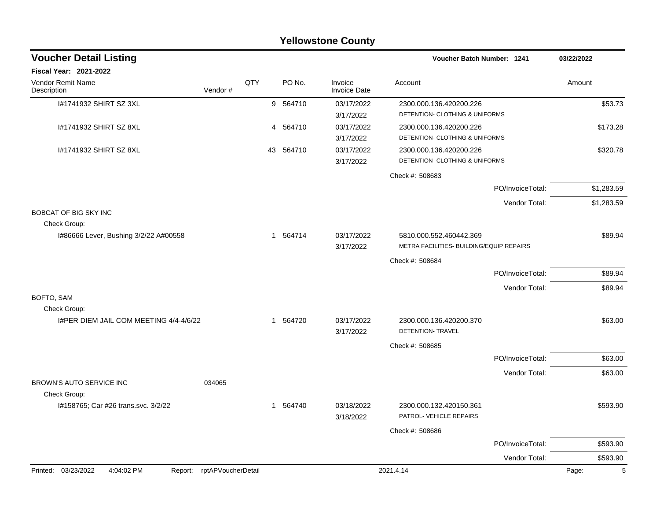|                                                        |                            |     |    |          | <b>Yellowstone County</b>      |                                                                     |                  |            |
|--------------------------------------------------------|----------------------------|-----|----|----------|--------------------------------|---------------------------------------------------------------------|------------------|------------|
| <b>Voucher Detail Listing</b>                          |                            |     |    |          |                                | Voucher Batch Number: 1241                                          |                  | 03/22/2022 |
| <b>Fiscal Year: 2021-2022</b>                          |                            |     |    |          |                                |                                                                     |                  |            |
| Vendor Remit Name<br>Description                       | Vendor#                    | QTY |    | PO No.   | Invoice<br><b>Invoice Date</b> | Account                                                             |                  | Amount     |
| 1#1741932 SHIRT SZ 3XL                                 |                            |     |    | 9 564710 | 03/17/2022<br>3/17/2022        | 2300.000.136.420200.226<br>DETENTION- CLOTHING & UNIFORMS           |                  | \$53.73    |
| I#1741932 SHIRT SZ 8XL                                 |                            |     |    | 4 564710 | 03/17/2022<br>3/17/2022        | 2300.000.136.420200.226<br>DETENTION- CLOTHING & UNIFORMS           |                  | \$173.28   |
| I#1741932 SHIRT SZ 8XL                                 |                            |     | 43 | 564710   | 03/17/2022<br>3/17/2022        | 2300.000.136.420200.226<br>DETENTION- CLOTHING & UNIFORMS           |                  | \$320.78   |
|                                                        |                            |     |    |          |                                | Check #: 508683                                                     |                  |            |
|                                                        |                            |     |    |          |                                |                                                                     | PO/InvoiceTotal: | \$1,283.59 |
|                                                        |                            |     |    |          |                                |                                                                     | Vendor Total:    | \$1,283.59 |
| <b>BOBCAT OF BIG SKY INC</b>                           |                            |     |    |          |                                |                                                                     |                  |            |
| Check Group:<br>I#86666 Lever, Bushing 3/2/22 A#00558  |                            |     |    | 1 564714 | 03/17/2022<br>3/17/2022        | 5810.000.552.460442.369<br>METRA FACILITIES- BUILDING/EQUIP REPAIRS |                  | \$89.94    |
|                                                        |                            |     |    |          |                                | Check #: 508684                                                     |                  |            |
|                                                        |                            |     |    |          |                                |                                                                     | PO/InvoiceTotal: | \$89.94    |
|                                                        |                            |     |    |          |                                |                                                                     | Vendor Total:    | \$89.94    |
| BOFTO, SAM                                             |                            |     |    |          |                                |                                                                     |                  |            |
| Check Group:<br>I#PER DIEM JAIL COM MEETING 4/4-4/6/22 |                            |     | 1  | 564720   | 03/17/2022                     | 2300.000.136.420200.370                                             |                  | \$63.00    |
|                                                        |                            |     |    |          | 3/17/2022                      | DETENTION- TRAVEL                                                   |                  |            |
|                                                        |                            |     |    |          |                                | Check #: 508685                                                     |                  |            |
|                                                        |                            |     |    |          |                                |                                                                     | PO/InvoiceTotal: | \$63.00    |
| BROWN'S AUTO SERVICE INC<br>Check Group:               | 034065                     |     |    |          |                                |                                                                     | Vendor Total:    | \$63.00    |
| l#158765; Car #26 trans.svc. 3/2/22                    |                            |     |    | 1 564740 | 03/18/2022<br>3/18/2022        | 2300.000.132.420150.361<br>PATROL- VEHICLE REPAIRS                  |                  | \$593.90   |
|                                                        |                            |     |    |          |                                | Check #: 508686                                                     |                  |            |
|                                                        |                            |     |    |          |                                |                                                                     | PO/InvoiceTotal: | \$593.90   |
|                                                        |                            |     |    |          |                                |                                                                     | Vendor Total:    | \$593.90   |
| Printed: 03/23/2022<br>4:04:02 PM                      | Report: rptAPVoucherDetail |     |    |          |                                | 2021.4.14                                                           |                  | 5<br>Page: |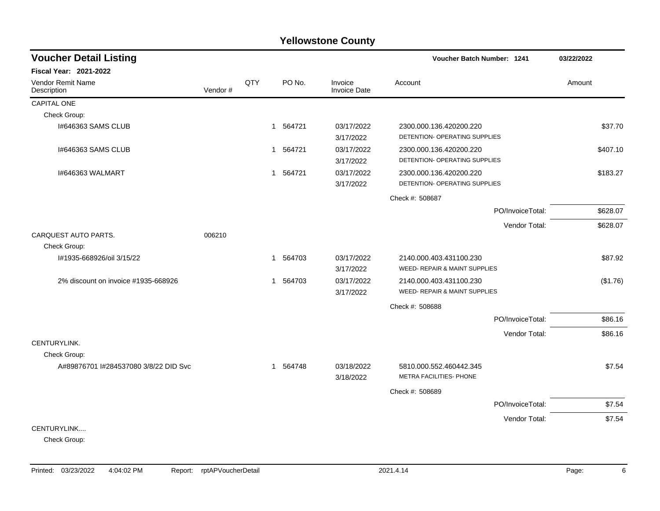| <b>Voucher Detail Listing</b>        |         |     |              |          |                                | <b>Voucher Batch Number: 1241</b> |                  | 03/22/2022 |          |
|--------------------------------------|---------|-----|--------------|----------|--------------------------------|-----------------------------------|------------------|------------|----------|
| <b>Fiscal Year: 2021-2022</b>        |         |     |              |          |                                |                                   |                  |            |          |
| Vendor Remit Name<br>Description     | Vendor# | QTY |              | PO No.   | Invoice<br><b>Invoice Date</b> | Account                           |                  | Amount     |          |
| <b>CAPITAL ONE</b>                   |         |     |              |          |                                |                                   |                  |            |          |
| Check Group:                         |         |     |              |          |                                |                                   |                  |            |          |
| I#646363 SAMS CLUB                   |         |     | $\mathbf{1}$ | 564721   | 03/17/2022                     | 2300.000.136.420200.220           |                  |            | \$37.70  |
|                                      |         |     |              |          | 3/17/2022                      | DETENTION- OPERATING SUPPLIES     |                  |            |          |
| I#646363 SAMS CLUB                   |         |     | $\mathbf{1}$ | 564721   | 03/17/2022                     | 2300.000.136.420200.220           |                  |            | \$407.10 |
|                                      |         |     |              |          | 3/17/2022                      | DETENTION- OPERATING SUPPLIES     |                  |            |          |
| I#646363 WALMART                     |         |     | $\mathbf{1}$ | 564721   | 03/17/2022                     | 2300.000.136.420200.220           |                  |            | \$183.27 |
|                                      |         |     |              |          | 3/17/2022                      | DETENTION- OPERATING SUPPLIES     |                  |            |          |
|                                      |         |     |              |          |                                | Check #: 508687                   |                  |            |          |
|                                      |         |     |              |          |                                |                                   | PO/InvoiceTotal: |            | \$628.07 |
|                                      |         |     |              |          |                                |                                   | Vendor Total:    |            | \$628.07 |
| CARQUEST AUTO PARTS.                 | 006210  |     |              |          |                                |                                   |                  |            |          |
| Check Group:                         |         |     |              |          |                                |                                   |                  |            |          |
| I#1935-668926/oil 3/15/22            |         |     |              | 1 564703 | 03/17/2022                     | 2140.000.403.431100.230           |                  |            | \$87.92  |
|                                      |         |     |              |          | 3/17/2022                      | WEED- REPAIR & MAINT SUPPLIES     |                  |            |          |
| 2% discount on invoice #1935-668926  |         |     | $\mathbf{1}$ | 564703   | 03/17/2022                     | 2140.000.403.431100.230           |                  |            | (\$1.76) |
|                                      |         |     |              |          | 3/17/2022                      | WEED- REPAIR & MAINT SUPPLIES     |                  |            |          |
|                                      |         |     |              |          |                                | Check #: 508688                   |                  |            |          |
|                                      |         |     |              |          |                                |                                   | PO/InvoiceTotal: |            | \$86.16  |
|                                      |         |     |              |          |                                |                                   | Vendor Total:    |            | \$86.16  |
| CENTURYLINK.                         |         |     |              |          |                                |                                   |                  |            |          |
| Check Group:                         |         |     |              |          |                                |                                   |                  |            |          |
| A#89876701 #284537080 3/8/22 DID Svc |         |     |              | 1 564748 | 03/18/2022                     | 5810.000.552.460442.345           |                  |            | \$7.54   |
|                                      |         |     |              |          | 3/18/2022                      | METRA FACILITIES- PHONE           |                  |            |          |
|                                      |         |     |              |          |                                | Check #: 508689                   |                  |            |          |
|                                      |         |     |              |          |                                |                                   | PO/InvoiceTotal: |            | \$7.54   |
|                                      |         |     |              |          |                                |                                   | Vendor Total:    |            | \$7.54   |
| CENTURYLINK                          |         |     |              |          |                                |                                   |                  |            |          |

Check Group: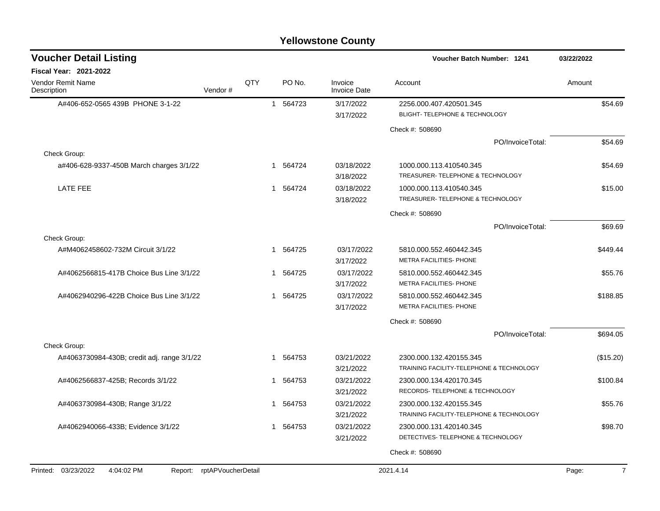| <b>Yellowstone County</b> |  |  |
|---------------------------|--|--|
|---------------------------|--|--|

| <b>Voucher Detail Listing</b>                |                    |     |              |          |                                | <b>Voucher Batch Number: 1241</b>                            | 03/22/2022              |
|----------------------------------------------|--------------------|-----|--------------|----------|--------------------------------|--------------------------------------------------------------|-------------------------|
| Fiscal Year: 2021-2022                       |                    |     |              |          |                                |                                                              |                         |
| <b>Vendor Remit Name</b><br>Description      | Vendor#            | QTY |              | PO No.   | Invoice<br><b>Invoice Date</b> | Account                                                      | Amount                  |
| A#406-652-0565 439B PHONE 3-1-22             |                    |     |              | 1 564723 | 3/17/2022                      | 2256.000.407.420501.345                                      | \$54.69                 |
|                                              |                    |     |              |          | 3/17/2022                      | <b>BLIGHT- TELEPHONE &amp; TECHNOLOGY</b>                    |                         |
|                                              |                    |     |              |          |                                | Check #: 508690                                              |                         |
|                                              |                    |     |              |          |                                | PO/InvoiceTotal:                                             | \$54.69                 |
| Check Group:                                 |                    |     |              |          |                                |                                                              |                         |
| a#406-628-9337-450B March charges 3/1/22     |                    |     | 1            | 564724   | 03/18/2022<br>3/18/2022        | 1000.000.113.410540.345<br>TREASURER- TELEPHONE & TECHNOLOGY | \$54.69                 |
| <b>LATE FEE</b>                              |                    |     | $\mathbf 1$  | 564724   | 03/18/2022                     | 1000.000.113.410540.345                                      | \$15.00                 |
|                                              |                    |     |              |          | 3/18/2022                      | TREASURER- TELEPHONE & TECHNOLOGY                            |                         |
|                                              |                    |     |              |          |                                | Check #: 508690                                              |                         |
|                                              |                    |     |              |          |                                | PO/InvoiceTotal:                                             | \$69.69                 |
| Check Group:                                 |                    |     |              |          |                                |                                                              |                         |
| A#M4062458602-732M Circuit 3/1/22            |                    |     | $\mathbf{1}$ | 564725   | 03/17/2022                     | 5810.000.552.460442.345                                      | \$449.44                |
|                                              |                    |     |              |          | 3/17/2022                      | METRA FACILITIES- PHONE                                      |                         |
| A#4062566815-417B Choice Bus Line 3/1/22     |                    |     | 1            | 564725   | 03/17/2022                     | 5810.000.552.460442.345                                      | \$55.76                 |
|                                              |                    |     |              |          | 3/17/2022                      | METRA FACILITIES- PHONE                                      |                         |
| A#4062940296-422B Choice Bus Line 3/1/22     |                    |     | 1            | 564725   | 03/17/2022                     | 5810.000.552.460442.345<br><b>METRA FACILITIES- PHONE</b>    | \$188.85                |
|                                              |                    |     |              |          | 3/17/2022                      |                                                              |                         |
|                                              |                    |     |              |          |                                | Check #: 508690                                              |                         |
|                                              |                    |     |              |          |                                | PO/InvoiceTotal:                                             | \$694.05                |
| Check Group:                                 |                    |     |              | 564753   | 03/21/2022                     | 2300.000.132.420155.345                                      |                         |
| A#4063730984-430B; credit adj. range 3/1/22  |                    |     | 1            |          | 3/21/2022                      | TRAINING FACILITY-TELEPHONE & TECHNOLOGY                     | (\$15.20)               |
| A#4062566837-425B; Records 3/1/22            |                    |     | 1            | 564753   | 03/21/2022                     | 2300.000.134.420170.345                                      | \$100.84                |
|                                              |                    |     |              |          | 3/21/2022                      | RECORDS- TELEPHONE & TECHNOLOGY                              |                         |
| A#4063730984-430B; Range 3/1/22              |                    |     | 1            | 564753   | 03/21/2022                     | 2300.000.132.420155.345                                      | \$55.76                 |
|                                              |                    |     |              |          | 3/21/2022                      | TRAINING FACILITY-TELEPHONE & TECHNOLOGY                     |                         |
| A#4062940066-433B; Evidence 3/1/22           |                    |     | 1            | 564753   | 03/21/2022                     | 2300.000.131.420140.345                                      | \$98.70                 |
|                                              |                    |     |              |          | 3/21/2022                      | DETECTIVES- TELEPHONE & TECHNOLOGY                           |                         |
|                                              |                    |     |              |          |                                | Check #: 508690                                              |                         |
|                                              |                    |     |              |          |                                |                                                              |                         |
| Printed: 03/23/2022<br>4:04:02 PM<br>Report: | rptAPVoucherDetail |     |              |          |                                | 2021.4.14                                                    | $\overline{7}$<br>Page: |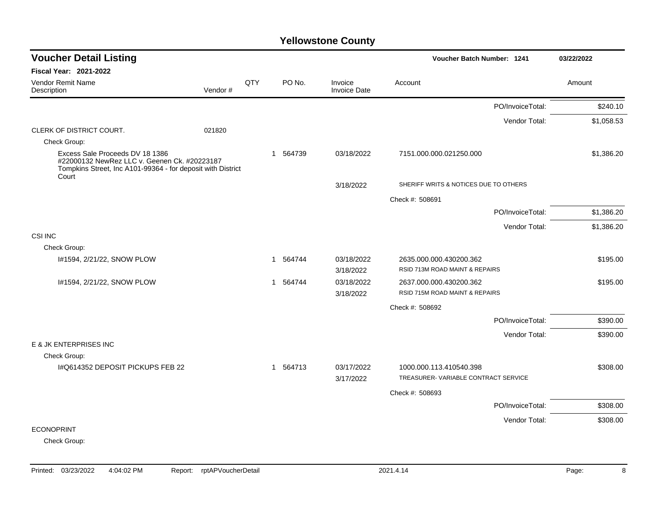| <b>Voucher Detail Listing</b>                                                                                                                           |         |     |             |                                | Voucher Batch Number: 1241            | 03/22/2022 |
|---------------------------------------------------------------------------------------------------------------------------------------------------------|---------|-----|-------------|--------------------------------|---------------------------------------|------------|
| <b>Fiscal Year: 2021-2022</b>                                                                                                                           |         |     |             |                                |                                       |            |
| <b>Vendor Remit Name</b><br>Description                                                                                                                 | Vendor# | QTY | PO No.      | Invoice<br><b>Invoice Date</b> | Account                               | Amount     |
|                                                                                                                                                         |         |     |             |                                | PO/InvoiceTotal:                      | \$240.10   |
|                                                                                                                                                         |         |     |             |                                | Vendor Total:                         | \$1,058.53 |
| CLERK OF DISTRICT COURT.                                                                                                                                | 021820  |     |             |                                |                                       |            |
| Check Group:                                                                                                                                            |         |     |             |                                |                                       |            |
| Excess Sale Proceeds DV 18 1386<br>#22000132 NewRez LLC v. Geenen Ck. #20223187<br>Tompkins Street, Inc A101-99364 - for deposit with District<br>Court |         |     | 564739<br>1 | 03/18/2022                     | 7151.000.000.021250.000               | \$1,386.20 |
|                                                                                                                                                         |         |     |             | 3/18/2022                      | SHERIFF WRITS & NOTICES DUE TO OTHERS |            |
|                                                                                                                                                         |         |     |             |                                | Check #: 508691                       |            |
|                                                                                                                                                         |         |     |             |                                | PO/InvoiceTotal:                      | \$1,386.20 |
|                                                                                                                                                         |         |     |             |                                | Vendor Total:                         | \$1,386.20 |
| CSI INC                                                                                                                                                 |         |     |             |                                |                                       |            |
| Check Group:                                                                                                                                            |         |     |             |                                |                                       |            |
| I#1594, 2/21/22, SNOW PLOW                                                                                                                              |         |     | 1 564744    | 03/18/2022                     | 2635.000.000.430200.362               | \$195.00   |
|                                                                                                                                                         |         |     |             | 3/18/2022                      | RSID 713M ROAD MAINT & REPAIRS        |            |
| I#1594, 2/21/22, SNOW PLOW                                                                                                                              |         |     | 564744<br>1 | 03/18/2022                     | 2637.000.000.430200.362               | \$195.00   |
|                                                                                                                                                         |         |     |             | 3/18/2022                      | RSID 715M ROAD MAINT & REPAIRS        |            |
|                                                                                                                                                         |         |     |             |                                | Check #: 508692                       |            |
|                                                                                                                                                         |         |     |             |                                | PO/InvoiceTotal:                      | \$390.00   |
|                                                                                                                                                         |         |     |             |                                | Vendor Total:                         | \$390.00   |
| E & JK ENTERPRISES INC                                                                                                                                  |         |     |             |                                |                                       |            |
| Check Group:                                                                                                                                            |         |     |             |                                |                                       |            |
| I#Q614352 DEPOSIT PICKUPS FEB 22                                                                                                                        |         |     | 564713<br>1 | 03/17/2022                     | 1000.000.113.410540.398               | \$308.00   |
|                                                                                                                                                         |         |     |             | 3/17/2022                      | TREASURER-VARIABLE CONTRACT SERVICE   |            |
|                                                                                                                                                         |         |     |             |                                | Check #: 508693                       |            |
|                                                                                                                                                         |         |     |             |                                | PO/InvoiceTotal:                      | \$308.00   |
|                                                                                                                                                         |         |     |             |                                | Vendor Total:                         | \$308.00   |
| <b>ECONOPRINT</b>                                                                                                                                       |         |     |             |                                |                                       |            |
| Check Group:                                                                                                                                            |         |     |             |                                |                                       |            |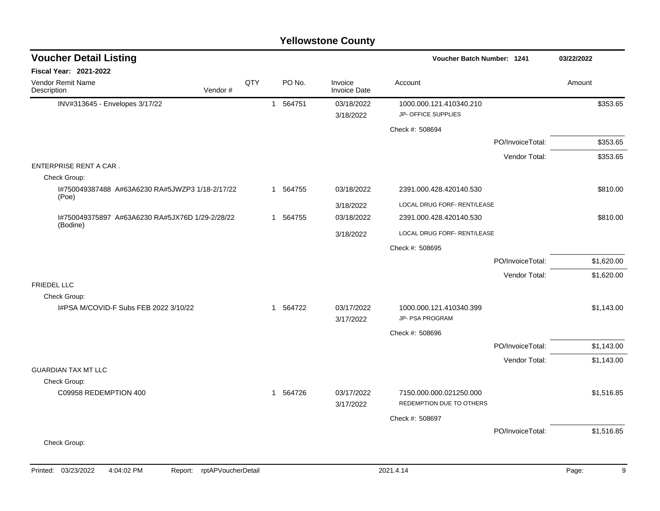### INV#313645 - Envelopes 3/17/22 1 564751 03/18/2022 1000.000.121.410340.210 \$353.65 3/18/2022 JP- OFFICE SUPPLIES Check #: 508694 PO/InvoiceTotal: \$353.65 Vendor Total: \$353.65 ENTERPRISE RENT A CAR . Check Group: I#750049387488 A#63A6230 RA#5JWZP3 1/18-2/17/22 (Poe) 1 564755 03/18/2022 2391.000.428.420140.530 \$810.00 3/18/2022 LOCAL DRUG FORF- RENT/LEASE I#750049375897 A#63A6230 RA#5JX76D 1/29-2/28/22 (Bodine) 1 564755 03/18/2022 2391.000.428.420140.530 \$810.00 3/18/2022 LOCAL DRUG FORF- RENT/LEASE Check #: 508695 PO/InvoiceTotal: \$1,620.00 Vendor Total: \$1,620.00 FRIEDEL LLC Check Group: I#PSA M/COVID-F Subs FEB 2022 3/10/22 1 1 564722 03/17/2022 1000.000.121.410340.399 3/17/2022 JP- PSA PROGRAM Check #: 508696 PO/InvoiceTotal: \$1,143.00 Vendor Total: \$1,143.00 GUARDIAN TAX MT LLC Check Group: C09958 REDEMPTION 400 **1 564726** 1 564726 03/17/2022 7150.000.000.021250.000 **61** 56451516.85 3/17/2022 REDEMPTION DUE TO OTHERS Check #: 508697 PO/InvoiceTotal: \$1,516.85 Check Group: **Voucher Batch Number: Yellowstone County** Vendor Remit Name **Description Voucher Detail Listing Fiscal Year: 2021-2022 1241 03/22/2022** PO No. Invoice Account Amount Amount Amount Amount Vendor # **QTY** Invoice Date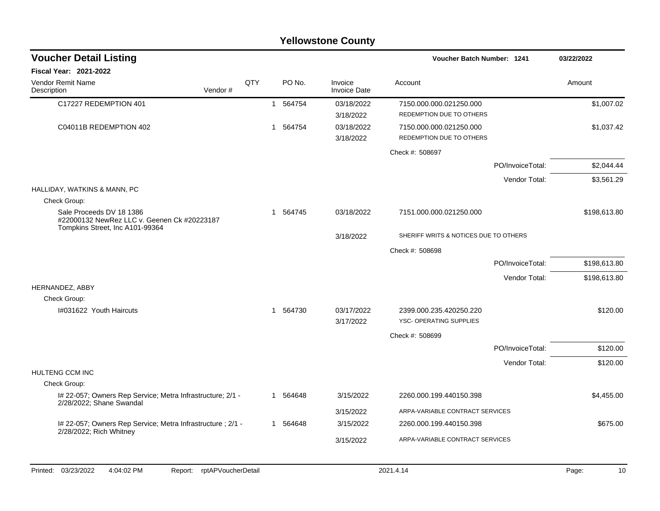|                                                                                                            |         |     |              |          | <b>Yellowstone County</b>      |                                                     |              |
|------------------------------------------------------------------------------------------------------------|---------|-----|--------------|----------|--------------------------------|-----------------------------------------------------|--------------|
| <b>Voucher Detail Listing</b>                                                                              |         |     |              |          |                                | Voucher Batch Number: 1241                          | 03/22/2022   |
| <b>Fiscal Year: 2021-2022</b>                                                                              |         |     |              |          |                                |                                                     |              |
| Vendor Remit Name<br>Description                                                                           | Vendor# | QTY |              | PO No.   | Invoice<br><b>Invoice Date</b> | Account                                             | Amount       |
| C17227 REDEMPTION 401                                                                                      |         |     | $\mathbf{1}$ | 564754   | 03/18/2022<br>3/18/2022        | 7150.000.000.021250.000<br>REDEMPTION DUE TO OTHERS | \$1,007.02   |
| C04011B REDEMPTION 402                                                                                     |         |     | 1            | 564754   | 03/18/2022<br>3/18/2022        | 7150.000.000.021250.000<br>REDEMPTION DUE TO OTHERS | \$1,037.42   |
|                                                                                                            |         |     |              |          |                                | Check #: 508697                                     |              |
|                                                                                                            |         |     |              |          |                                | PO/InvoiceTotal:                                    | \$2,044.44   |
|                                                                                                            |         |     |              |          |                                | Vendor Total:                                       | \$3,561.29   |
| HALLIDAY, WATKINS & MANN, PC                                                                               |         |     |              |          |                                |                                                     |              |
| Check Group:                                                                                               |         |     |              |          |                                |                                                     |              |
| Sale Proceeds DV 18 1386<br>#22000132 NewRez LLC v. Geenen Ck #20223187<br>Tompkins Street, Inc A101-99364 |         |     | 1            | 564745   | 03/18/2022                     | 7151.000.000.021250.000                             | \$198,613.80 |
|                                                                                                            |         |     |              |          | 3/18/2022                      | SHERIFF WRITS & NOTICES DUE TO OTHERS               |              |
|                                                                                                            |         |     |              |          |                                | Check #: 508698                                     |              |
|                                                                                                            |         |     |              |          |                                | PO/InvoiceTotal:                                    | \$198,613.80 |
|                                                                                                            |         |     |              |          |                                | Vendor Total:                                       | \$198,613.80 |
| HERNANDEZ, ABBY                                                                                            |         |     |              |          |                                |                                                     |              |
| Check Group:<br>I#031622 Youth Haircuts                                                                    |         |     | -1           | 564730   | 03/17/2022                     | 2399.000.235.420250.220                             | \$120.00     |
|                                                                                                            |         |     |              |          | 3/17/2022                      | YSC- OPERATING SUPPLIES                             |              |
|                                                                                                            |         |     |              |          |                                | Check #: 508699                                     |              |
|                                                                                                            |         |     |              |          |                                | PO/InvoiceTotal:                                    | \$120.00     |
| HULTENG CCM INC                                                                                            |         |     |              |          |                                | Vendor Total:                                       | \$120.00     |
| Check Group:                                                                                               |         |     |              |          |                                |                                                     |              |
| I# 22-057; Owners Rep Service; Metra Infrastructure; 2/1 -<br>2/28/2022; Shane Swandal                     |         |     |              | 1 564648 | 3/15/2022                      | 2260.000.199.440150.398                             | \$4,455.00   |
|                                                                                                            |         |     |              |          | 3/15/2022                      | ARPA-VARIABLE CONTRACT SERVICES                     |              |
| I# 22-057; Owners Rep Service; Metra Infrastructure ; 2/1 -<br>2/28/2022; Rich Whitney                     |         |     |              | 1 564648 | 3/15/2022                      | 2260.000.199.440150.398                             | \$675.00     |
|                                                                                                            |         |     |              |          | 3/15/2022                      | ARPA-VARIABLE CONTRACT SERVICES                     |              |
|                                                                                                            |         |     |              |          |                                |                                                     |              |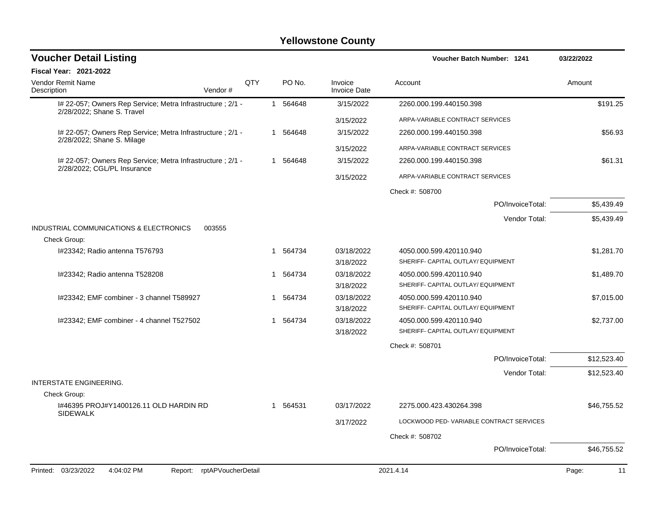| <b>Voucher Detail Listing</b>                                                             |            |    |          |                                | Voucher Batch Number: 1241                                    | 03/22/2022  |
|-------------------------------------------------------------------------------------------|------------|----|----------|--------------------------------|---------------------------------------------------------------|-------------|
| <b>Fiscal Year: 2021-2022</b>                                                             |            |    |          |                                |                                                               |             |
| Vendor Remit Name<br>Vendor#<br>Description                                               | <b>OTY</b> |    | PO No.   | Invoice<br><b>Invoice Date</b> | Account                                                       | Amount      |
| I# 22-057; Owners Rep Service; Metra Infrastructure ; 2/1 -<br>2/28/2022; Shane S. Travel |            |    | 1 564648 | 3/15/2022                      | 2260.000.199.440150.398                                       | \$191.25    |
|                                                                                           |            |    |          | 3/15/2022                      | ARPA-VARIABLE CONTRACT SERVICES                               |             |
| I# 22-057; Owners Rep Service; Metra Infrastructure ; 2/1 -                               |            |    | 1 564648 | 3/15/2022                      | 2260.000.199.440150.398                                       | \$56.93     |
| 2/28/2022; Shane S. Milage                                                                |            |    |          | 3/15/2022                      | ARPA-VARIABLE CONTRACT SERVICES                               |             |
| I# 22-057; Owners Rep Service; Metra Infrastructure ; 2/1 -                               |            |    | 1 564648 | 3/15/2022                      | 2260.000.199.440150.398                                       | \$61.31     |
| 2/28/2022; CGL/PL Insurance                                                               |            |    |          | 3/15/2022                      | ARPA-VARIABLE CONTRACT SERVICES                               |             |
|                                                                                           |            |    |          |                                | Check #: 508700                                               |             |
|                                                                                           |            |    |          |                                | PO/InvoiceTotal:                                              | \$5,439.49  |
|                                                                                           |            |    |          |                                | Vendor Total:                                                 | \$5,439.49  |
| INDUSTRIAL COMMUNICATIONS & ELECTRONICS<br>003555<br>Check Group:                         |            |    |          |                                |                                                               |             |
| I#23342; Radio antenna T576793                                                            |            |    | 1 564734 | 03/18/2022<br>3/18/2022        | 4050.000.599.420110.940<br>SHERIFF- CAPITAL OUTLAY/ EQUIPMENT | \$1,281.70  |
| I#23342; Radio antenna T528208                                                            |            |    | 1 564734 | 03/18/2022<br>3/18/2022        | 4050.000.599.420110.940<br>SHERIFF- CAPITAL OUTLAY/ EQUIPMENT | \$1,489.70  |
| I#23342; EMF combiner - 3 channel T589927                                                 |            | -1 | 564734   | 03/18/2022<br>3/18/2022        | 4050.000.599.420110.940<br>SHERIFF- CAPITAL OUTLAY/ EQUIPMENT | \$7,015.00  |
| I#23342; EMF combiner - 4 channel T527502                                                 |            |    | 1 564734 | 03/18/2022<br>3/18/2022        | 4050.000.599.420110.940<br>SHERIFF- CAPITAL OUTLAY/ EQUIPMENT | \$2,737.00  |
|                                                                                           |            |    |          |                                | Check #: 508701                                               |             |
|                                                                                           |            |    |          |                                | PO/InvoiceTotal:                                              | \$12,523.40 |
|                                                                                           |            |    |          |                                | Vendor Total:                                                 | \$12,523.40 |
| <b>INTERSTATE ENGINEERING.</b>                                                            |            |    |          |                                |                                                               |             |
| Check Group:                                                                              |            |    |          |                                |                                                               |             |
| 1#46395 PROJ#Y1400126.11 OLD HARDIN RD<br><b>SIDEWALK</b>                                 |            |    | 1 564531 | 03/17/2022                     | 2275.000.423.430264.398                                       | \$46,755.52 |
|                                                                                           |            |    |          | 3/17/2022                      | LOCKWOOD PED- VARIABLE CONTRACT SERVICES                      |             |
|                                                                                           |            |    |          |                                | Check #: 508702                                               |             |
|                                                                                           |            |    |          |                                | PO/InvoiceTotal:                                              | \$46,755.52 |
| Printed: 03/23/2022<br>4:04:02 PM<br>Report: rptAPVoucherDetail                           |            |    |          |                                | 2021.4.14                                                     | 11<br>Page: |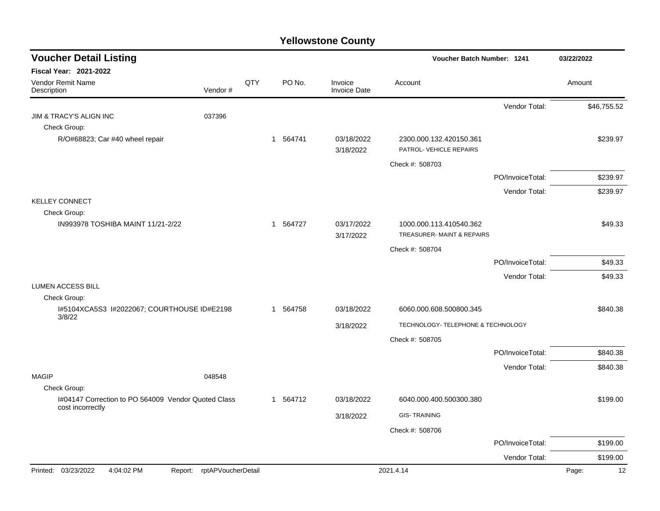| <b>Voucher Detail Listing</b>                                           |                            |     |          |                                | Voucher Batch Number: 1241                           |                  | 03/22/2022  |
|-------------------------------------------------------------------------|----------------------------|-----|----------|--------------------------------|------------------------------------------------------|------------------|-------------|
| <b>Fiscal Year: 2021-2022</b>                                           |                            |     |          |                                |                                                      |                  |             |
| Vendor Remit Name<br>Description                                        | Vendor#                    | QTY | PO No.   | Invoice<br><b>Invoice Date</b> | Account                                              |                  | Amount      |
|                                                                         |                            |     |          |                                |                                                      | Vendor Total:    | \$46,755.52 |
| <b>JIM &amp; TRACY'S ALIGN INC</b>                                      | 037396                     |     |          |                                |                                                      |                  |             |
| Check Group:                                                            |                            |     |          |                                |                                                      |                  |             |
| R/O#68823; Car #40 wheel repair                                         |                            |     | 1 564741 | 03/18/2022<br>3/18/2022        | 2300.000.132.420150.361<br>PATROL- VEHICLE REPAIRS   |                  | \$239.97    |
|                                                                         |                            |     |          |                                | Check #: 508703                                      |                  |             |
|                                                                         |                            |     |          |                                |                                                      | PO/InvoiceTotal: | \$239.97    |
|                                                                         |                            |     |          |                                |                                                      | Vendor Total:    | \$239.97    |
| <b>KELLEY CONNECT</b>                                                   |                            |     |          |                                |                                                      |                  |             |
| Check Group:                                                            |                            |     |          |                                |                                                      |                  |             |
| IN993978 TOSHIBA MAINT 11/21-2/22                                       |                            |     | 1 564727 | 03/17/2022                     | 1000.000.113.410540.362<br>TREASURER-MAINT & REPAIRS |                  | \$49.33     |
|                                                                         |                            |     |          | 3/17/2022                      |                                                      |                  |             |
|                                                                         |                            |     |          |                                | Check #: 508704                                      |                  |             |
|                                                                         |                            |     |          |                                |                                                      | PO/InvoiceTotal: | \$49.33     |
| <b>LUMEN ACCESS BILL</b>                                                |                            |     |          |                                |                                                      | Vendor Total:    | \$49.33     |
| Check Group:                                                            |                            |     |          |                                |                                                      |                  |             |
| I#5104XCA5S3 I#2022067; COURTHOUSE ID#E2198<br>3/8/22                   |                            |     | 1 564758 | 03/18/2022                     | 6060.000.608.500800.345                              |                  | \$840.38    |
|                                                                         |                            |     |          | 3/18/2022                      | TECHNOLOGY- TELEPHONE & TECHNOLOGY                   |                  |             |
|                                                                         |                            |     |          |                                | Check #: 508705                                      |                  |             |
|                                                                         |                            |     |          |                                |                                                      | PO/InvoiceTotal: | \$840.38    |
|                                                                         |                            |     |          |                                |                                                      | Vendor Total:    | \$840.38    |
| <b>MAGIP</b>                                                            | 048548                     |     |          |                                |                                                      |                  |             |
| Check Group:                                                            |                            |     |          |                                |                                                      |                  |             |
| I#04147 Correction to PO 564009 Vendor Quoted Class<br>cost incorrectly |                            |     | 1 564712 | 03/18/2022                     | 6040.000.400.500300.380                              |                  | \$199.00    |
|                                                                         |                            |     |          | 3/18/2022                      | <b>GIS-TRAINING</b>                                  |                  |             |
|                                                                         |                            |     |          |                                | Check #: 508706                                      |                  |             |
|                                                                         |                            |     |          |                                |                                                      | PO/InvoiceTotal: | \$199.00    |
|                                                                         |                            |     |          |                                |                                                      | Vendor Total:    | \$199.00    |
| Printed: 03/23/2022<br>4:04:02 PM                                       | Report: rptAPVoucherDetail |     |          |                                | 2021.4.14                                            |                  | 12<br>Page: |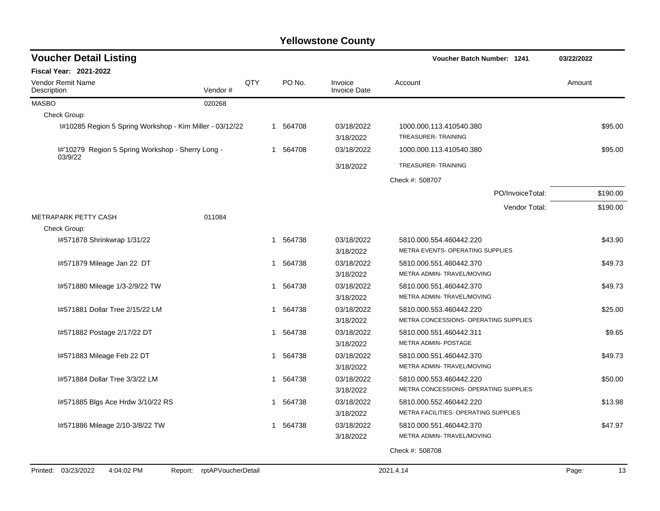| <b>Voucher Detail Listing</b>                                |                            |     |             |                         | Voucher Batch Number: 1241                    |                  | 03/22/2022  |
|--------------------------------------------------------------|----------------------------|-----|-------------|-------------------------|-----------------------------------------------|------------------|-------------|
| <b>Fiscal Year: 2021-2022</b>                                |                            |     |             |                         |                                               |                  |             |
| <b>Vendor Remit Name</b><br>Description                      | Vendor#                    | QTY | PO No.      | Invoice<br>Invoice Date | Account                                       |                  | Amount      |
| <b>MASBO</b>                                                 | 020268                     |     |             |                         |                                               |                  |             |
| Check Group:                                                 |                            |     |             |                         |                                               |                  |             |
| I#10285 Region 5 Spring Workshop - Kim Miller - 03/12/22     |                            |     | 1 564708    | 03/18/2022<br>3/18/2022 | 1000.000.113.410540.380<br>TREASURER-TRAINING |                  | \$95.00     |
| I#'10279 Region 5 Spring Workshop - Sherry Long -<br>03/9/22 |                            |     | 1 564708    | 03/18/2022              | 1000.000.113.410540.380                       |                  | \$95.00     |
|                                                              |                            |     |             | 3/18/2022               | TREASURER-TRAINING                            |                  |             |
|                                                              |                            |     |             |                         | Check #: 508707                               |                  |             |
|                                                              |                            |     |             |                         |                                               | PO/InvoiceTotal: | \$190.00    |
|                                                              |                            |     |             |                         |                                               | Vendor Total:    | \$190.00    |
| METRAPARK PETTY CASH                                         | 011084                     |     |             |                         |                                               |                  |             |
| Check Group:                                                 |                            |     |             |                         |                                               |                  |             |
| I#571878 Shrinkwrap 1/31/22                                  |                            |     | 564738<br>1 | 03/18/2022              | 5810.000.554.460442.220                       |                  | \$43.90     |
|                                                              |                            |     |             | 3/18/2022               | METRA EVENTS- OPERATING SUPPLIES              |                  |             |
| I#571879 Mileage Jan 22 DT                                   |                            |     | 564738<br>1 | 03/18/2022              | 5810.000.551.460442.370                       |                  | \$49.73     |
|                                                              |                            |     |             | 3/18/2022               | METRA ADMIN- TRAVEL/MOVING                    |                  |             |
| 1#571880 Mileage 1/3-2/9/22 TW                               |                            |     | 1 564738    | 03/18/2022              | 5810.000.551.460442.370                       |                  | \$49.73     |
|                                                              |                            |     |             | 3/18/2022               | METRA ADMIN- TRAVEL/MOVING                    |                  |             |
| 1#571881 Dollar Tree 2/15/22 LM                              |                            |     | 1 564738    | 03/18/2022              | 5810.000.553.460442.220                       |                  | \$25.00     |
|                                                              |                            |     |             | 3/18/2022               | METRA CONCESSIONS- OPERATING SUPPLIES         |                  |             |
| I#571882 Postage 2/17/22 DT                                  |                            |     | 1 564738    | 03/18/2022              | 5810.000.551.460442.311                       |                  | \$9.65      |
|                                                              |                            |     |             | 3/18/2022               | METRA ADMIN- POSTAGE                          |                  |             |
| I#571883 Mileage Feb 22 DT                                   |                            |     | 1 564738    | 03/18/2022              | 5810.000.551.460442.370                       |                  | \$49.73     |
|                                                              |                            |     |             | 3/18/2022               | METRA ADMIN- TRAVEL/MOVING                    |                  |             |
| 1#571884 Dollar Tree 3/3/22 LM                               |                            |     | 564738<br>1 | 03/18/2022              | 5810.000.553.460442.220                       |                  | \$50.00     |
|                                                              |                            |     |             | 3/18/2022               | METRA CONCESSIONS- OPERATING SUPPLIES         |                  |             |
| I#571885 Blgs Ace Hrdw 3/10/22 RS                            |                            |     | 564738<br>1 | 03/18/2022              | 5810.000.552.460442.220                       |                  | \$13.98     |
|                                                              |                            |     |             | 3/18/2022               | METRA FACILITIES- OPERATING SUPPLIES          |                  |             |
| I#571886 Mileage 2/10-3/8/22 TW                              |                            |     | 564738<br>1 | 03/18/2022              | 5810.000.551.460442.370                       |                  | \$47.97     |
|                                                              |                            |     |             | 3/18/2022               | METRA ADMIN-TRAVEL/MOVING                     |                  |             |
|                                                              |                            |     |             |                         | Check #: 508708                               |                  |             |
|                                                              |                            |     |             |                         |                                               |                  |             |
| Printed: 03/23/2022<br>4:04:02 PM                            | Report: rptAPVoucherDetail |     |             |                         | 2021.4.14                                     |                  | Page:<br>13 |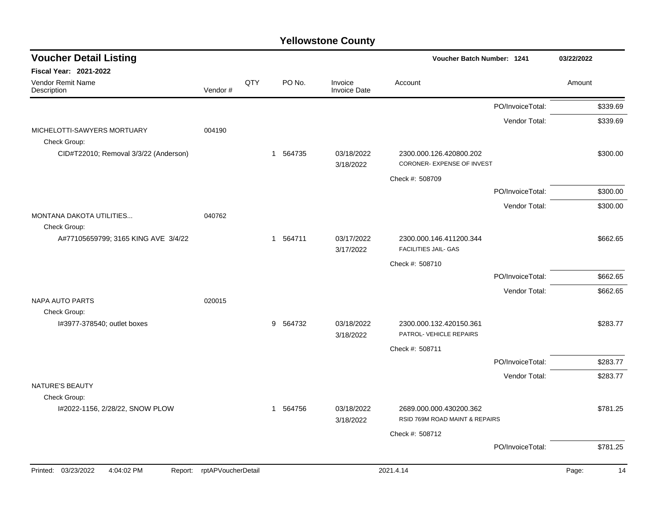| <b>Voucher Detail Listing</b>                         |                    |     |          |                                | Voucher Batch Number: 1241     |                  | 03/22/2022 |          |
|-------------------------------------------------------|--------------------|-----|----------|--------------------------------|--------------------------------|------------------|------------|----------|
| Fiscal Year: 2021-2022                                |                    |     |          |                                |                                |                  |            |          |
| Vendor Remit Name<br>Description                      | Vendor#            | QTY | PO No.   | Invoice<br><b>Invoice Date</b> | Account                        |                  | Amount     |          |
|                                                       |                    |     |          |                                |                                | PO/InvoiceTotal: |            | \$339.69 |
|                                                       |                    |     |          |                                |                                | Vendor Total:    |            | \$339.69 |
| MICHELOTTI-SAWYERS MORTUARY                           | 004190             |     |          |                                |                                |                  |            |          |
| Check Group:<br>CID#T22010; Removal 3/3/22 (Anderson) |                    |     | 1 564735 | 03/18/2022                     | 2300.000.126.420800.202        |                  |            | \$300.00 |
|                                                       |                    |     |          | 3/18/2022                      | CORONER- EXPENSE OF INVEST     |                  |            |          |
|                                                       |                    |     |          |                                | Check #: 508709                |                  |            |          |
|                                                       |                    |     |          |                                |                                | PO/InvoiceTotal: |            | \$300.00 |
|                                                       |                    |     |          |                                |                                | Vendor Total:    |            | \$300.00 |
| MONTANA DAKOTA UTILITIES                              | 040762             |     |          |                                |                                |                  |            |          |
| Check Group:<br>A#77105659799; 3165 KING AVE 3/4/22   |                    |     | 1 564711 | 03/17/2022                     | 2300.000.146.411200.344        |                  |            | \$662.65 |
|                                                       |                    |     |          | 3/17/2022                      | <b>FACILITIES JAIL- GAS</b>    |                  |            |          |
|                                                       |                    |     |          |                                | Check #: 508710                |                  |            |          |
|                                                       |                    |     |          |                                |                                | PO/InvoiceTotal: |            | \$662.65 |
|                                                       |                    |     |          |                                |                                | Vendor Total:    |            | \$662.65 |
| <b>NAPA AUTO PARTS</b>                                | 020015             |     |          |                                |                                |                  |            |          |
| Check Group:<br>I#3977-378540; outlet boxes           |                    |     | 9 564732 | 03/18/2022                     | 2300.000.132.420150.361        |                  |            | \$283.77 |
|                                                       |                    |     |          | 3/18/2022                      | PATROL- VEHICLE REPAIRS        |                  |            |          |
|                                                       |                    |     |          |                                | Check #: 508711                |                  |            |          |
|                                                       |                    |     |          |                                |                                | PO/InvoiceTotal: |            | \$283.77 |
|                                                       |                    |     |          |                                |                                | Vendor Total:    |            | \$283.77 |
| NATURE'S BEAUTY                                       |                    |     |          |                                |                                |                  |            |          |
| Check Group:<br>I#2022-1156, 2/28/22, SNOW PLOW       |                    |     | 1 564756 | 03/18/2022                     | 2689.000.000.430200.362        |                  |            | \$781.25 |
|                                                       |                    |     |          | 3/18/2022                      | RSID 769M ROAD MAINT & REPAIRS |                  |            |          |
|                                                       |                    |     |          |                                | Check #: 508712                |                  |            |          |
|                                                       |                    |     |          |                                |                                | PO/InvoiceTotal: |            | \$781.25 |
| Printed: 03/23/2022<br>4:04:02 PM<br>Report:          | rptAPVoucherDetail |     |          |                                | 2021.4.14                      |                  | Page:      | 14       |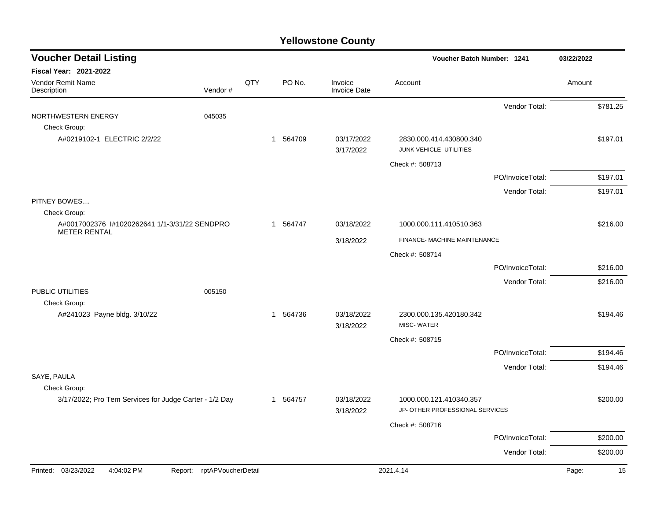| <b>Voucher Detail Listing</b>                                          |                            |     |          |                                | Voucher Batch Number: 1241      |                  | 03/22/2022  |
|------------------------------------------------------------------------|----------------------------|-----|----------|--------------------------------|---------------------------------|------------------|-------------|
| <b>Fiscal Year: 2021-2022</b>                                          |                            |     |          |                                |                                 |                  |             |
| Vendor Remit Name<br>Description                                       | Vendor#                    | QTY | PO No.   | Invoice<br><b>Invoice Date</b> | Account                         |                  | Amount      |
|                                                                        |                            |     |          |                                |                                 | Vendor Total:    | \$781.25    |
| NORTHWESTERN ENERGY<br>Check Group:                                    | 045035                     |     |          |                                |                                 |                  |             |
| A#0219102-1 ELECTRIC 2/2/22                                            |                            |     | 1 564709 | 03/17/2022                     | 2830.000.414.430800.340         |                  | \$197.01    |
|                                                                        |                            |     |          | 3/17/2022                      | JUNK VEHICLE- UTILITIES         |                  |             |
|                                                                        |                            |     |          |                                | Check #: 508713                 |                  |             |
|                                                                        |                            |     |          |                                |                                 | PO/InvoiceTotal: | \$197.01    |
|                                                                        |                            |     |          |                                |                                 | Vendor Total:    | \$197.01    |
| PITNEY BOWES<br>Check Group:                                           |                            |     |          |                                |                                 |                  |             |
| A#0017002376 1#1020262641 1/1-3/31/22 SENDPRO                          |                            |     | 1 564747 | 03/18/2022                     | 1000.000.111.410510.363         |                  | \$216.00    |
| <b>METER RENTAL</b>                                                    |                            |     |          | 3/18/2022                      | FINANCE- MACHINE MAINTENANCE    |                  |             |
|                                                                        |                            |     |          |                                | Check #: 508714                 |                  |             |
|                                                                        |                            |     |          |                                |                                 | PO/InvoiceTotal: | \$216.00    |
|                                                                        |                            |     |          |                                |                                 | Vendor Total:    | \$216.00    |
| PUBLIC UTILITIES                                                       | 005150                     |     |          |                                |                                 |                  |             |
| Check Group:<br>A#241023 Payne bldg. 3/10/22                           |                            |     | 1 564736 | 03/18/2022                     | 2300.000.135.420180.342         |                  | \$194.46    |
|                                                                        |                            |     |          | 3/18/2022                      | <b>MISC-WATER</b>               |                  |             |
|                                                                        |                            |     |          |                                | Check #: 508715                 |                  |             |
|                                                                        |                            |     |          |                                |                                 | PO/InvoiceTotal: | \$194.46    |
|                                                                        |                            |     |          |                                |                                 | Vendor Total:    | \$194.46    |
| SAYE, PAULA                                                            |                            |     |          |                                |                                 |                  |             |
| Check Group:<br>3/17/2022; Pro Tem Services for Judge Carter - 1/2 Day |                            |     | 1 564757 | 03/18/2022                     | 1000.000.121.410340.357         |                  | \$200.00    |
|                                                                        |                            |     |          | 3/18/2022                      | JP- OTHER PROFESSIONAL SERVICES |                  |             |
|                                                                        |                            |     |          |                                | Check #: 508716                 |                  |             |
|                                                                        |                            |     |          |                                |                                 | PO/InvoiceTotal: | \$200.00    |
|                                                                        |                            |     |          |                                |                                 | Vendor Total:    | \$200.00    |
| Printed: 03/23/2022<br>4:04:02 PM                                      | Report: rptAPVoucherDetail |     |          |                                | 2021.4.14                       |                  | Page:<br>15 |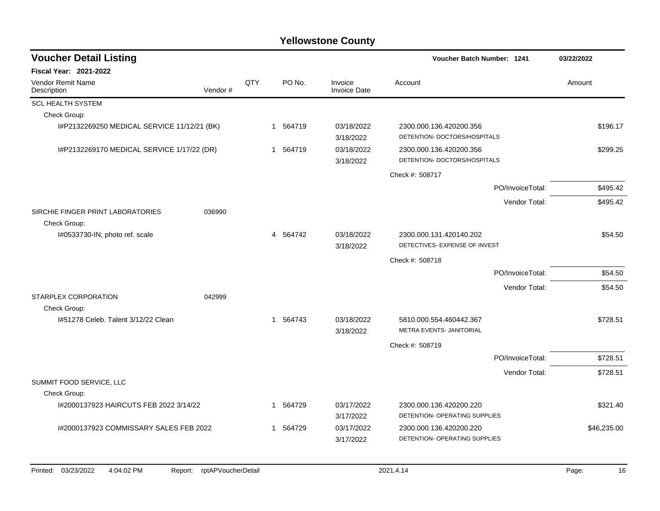| <b>Voucher Detail Listing</b>               |         |     |              |                                | Voucher Batch Number: 1241                               |                  | 03/22/2022  |
|---------------------------------------------|---------|-----|--------------|--------------------------------|----------------------------------------------------------|------------------|-------------|
| <b>Fiscal Year: 2021-2022</b>               |         |     |              |                                |                                                          |                  |             |
| Vendor Remit Name<br>Description            | Vendor# | QTY | PO No.       | Invoice<br><b>Invoice Date</b> | Account                                                  |                  | Amount      |
| <b>SCL HEALTH SYSTEM</b>                    |         |     |              |                                |                                                          |                  |             |
| Check Group:                                |         |     |              |                                |                                                          |                  |             |
| I#P2132269250 MEDICAL SERVICE 11/12/21 (BK) |         |     | 1 564719     | 03/18/2022<br>3/18/2022        | 2300.000.136.420200.356<br>DETENTION-DOCTORS/HOSPITALS   |                  | \$196.17    |
| I#P2132269170 MEDICAL SERVICE 1/17/22 (DR)  |         |     | 564719<br>-1 | 03/18/2022<br>3/18/2022        | 2300.000.136.420200.356<br>DETENTION- DOCTORS/HOSPITALS  |                  | \$299.25    |
|                                             |         |     |              |                                | Check #: 508717                                          |                  |             |
|                                             |         |     |              |                                |                                                          | PO/InvoiceTotal: | \$495.42    |
| SIRCHIE FINGER PRINT LABORATORIES           | 036990  |     |              |                                |                                                          | Vendor Total:    | \$495.42    |
| Check Group:                                |         |     |              |                                |                                                          |                  |             |
| I#0533730-IN; photo ref. scale              |         |     | 4 564742     | 03/18/2022<br>3/18/2022        | 2300.000.131.420140.202<br>DETECTIVES- EXPENSE OF INVEST |                  | \$54.50     |
|                                             |         |     |              |                                | Check #: 508718                                          |                  |             |
|                                             |         |     |              |                                |                                                          | PO/InvoiceTotal: | \$54.50     |
|                                             |         |     |              |                                |                                                          | Vendor Total:    | \$54.50     |
| STARPLEX CORPORATION<br>Check Group:        | 042999  |     |              |                                |                                                          |                  |             |
| 1#51278 Celeb. Talent 3/12/22 Clean         |         |     | 1 564743     | 03/18/2022<br>3/18/2022        | 5810.000.554.460442.367<br>METRA EVENTS- JANITORIAL      |                  | \$728.51    |
|                                             |         |     |              |                                | Check #: 508719                                          |                  |             |
|                                             |         |     |              |                                |                                                          | PO/InvoiceTotal: | \$728.51    |
|                                             |         |     |              |                                |                                                          | Vendor Total:    | \$728.51    |
| SUMMIT FOOD SERVICE, LLC<br>Check Group:    |         |     |              |                                |                                                          |                  |             |
| I#2000137923 HAIRCUTS FEB 2022 3/14/22      |         |     | 1 564729     | 03/17/2022<br>3/17/2022        | 2300.000.136.420200.220<br>DETENTION- OPERATING SUPPLIES |                  | \$321.40    |
| I#2000137923 COMMISSARY SALES FEB 2022      |         |     | 1 564729     | 03/17/2022<br>3/17/2022        | 2300.000.136.420200.220<br>DETENTION- OPERATING SUPPLIES |                  | \$46,235.00 |
|                                             |         |     |              |                                |                                                          |                  |             |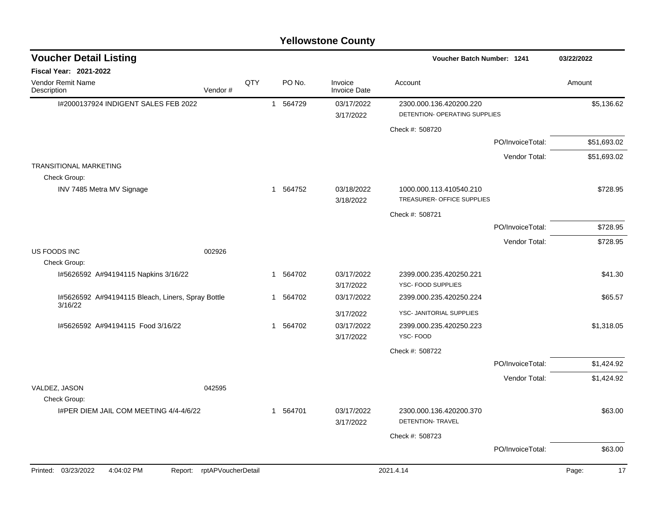| <b>Yellowstone County</b> |  |
|---------------------------|--|
|---------------------------|--|

| <b>Voucher Detail Listing</b>                                |                    |     |  |          |                                | Voucher Batch Number: 1241                               |                  | 03/22/2022  |
|--------------------------------------------------------------|--------------------|-----|--|----------|--------------------------------|----------------------------------------------------------|------------------|-------------|
| <b>Fiscal Year: 2021-2022</b>                                |                    |     |  |          |                                |                                                          |                  |             |
| Vendor Remit Name<br>Description                             | Vendor#            | QTY |  | PO No.   | Invoice<br><b>Invoice Date</b> | Account                                                  |                  | Amount      |
| I#2000137924 INDIGENT SALES FEB 2022                         |                    |     |  | 1 564729 | 03/17/2022<br>3/17/2022        | 2300.000.136.420200.220<br>DETENTION- OPERATING SUPPLIES |                  | \$5,136.62  |
|                                                              |                    |     |  |          |                                | Check #: 508720                                          |                  |             |
|                                                              |                    |     |  |          |                                |                                                          | PO/InvoiceTotal: | \$51,693.02 |
|                                                              |                    |     |  |          |                                |                                                          | Vendor Total:    | \$51,693.02 |
| <b>TRANSITIONAL MARKETING</b><br>Check Group:                |                    |     |  |          |                                |                                                          |                  |             |
| INV 7485 Metra MV Signage                                    |                    |     |  | 1 564752 | 03/18/2022<br>3/18/2022        | 1000.000.113.410540.210<br>TREASURER- OFFICE SUPPLIES    |                  | \$728.95    |
|                                                              |                    |     |  |          |                                | Check #: 508721                                          |                  |             |
|                                                              |                    |     |  |          |                                |                                                          | PO/InvoiceTotal: | \$728.95    |
|                                                              |                    |     |  |          |                                |                                                          | Vendor Total:    | \$728.95    |
| US FOODS INC<br>Check Group:                                 | 002926             |     |  |          |                                |                                                          |                  |             |
| I#5626592 A#94194115 Napkins 3/16/22                         |                    |     |  | 1 564702 | 03/17/2022<br>3/17/2022        | 2399.000.235.420250.221<br>YSC- FOOD SUPPLIES            |                  | \$41.30     |
| I#5626592 A#94194115 Bleach, Liners, Spray Bottle<br>3/16/22 |                    |     |  | 1 564702 | 03/17/2022                     | 2399.000.235.420250.224                                  |                  | \$65.57     |
|                                                              |                    |     |  |          | 3/17/2022                      | YSC- JANITORIAL SUPPLIES                                 |                  |             |
| I#5626592 A#94194115 Food 3/16/22                            |                    |     |  | 1 564702 | 03/17/2022<br>3/17/2022        | 2399.000.235.420250.223<br>YSC-FOOD                      |                  | \$1,318.05  |
|                                                              |                    |     |  |          |                                | Check #: 508722                                          |                  |             |
|                                                              |                    |     |  |          |                                |                                                          | PO/InvoiceTotal: | \$1,424.92  |
|                                                              |                    |     |  |          |                                |                                                          | Vendor Total:    | \$1,424.92  |
| VALDEZ, JASON<br>Check Group:                                | 042595             |     |  |          |                                |                                                          |                  |             |
| I#PER DIEM JAIL COM MEETING 4/4-4/6/22                       |                    |     |  | 1 564701 | 03/17/2022<br>3/17/2022        | 2300.000.136.420200.370<br><b>DETENTION- TRAVEL</b>      |                  | \$63.00     |
|                                                              |                    |     |  |          |                                | Check #: 508723                                          |                  |             |
|                                                              |                    |     |  |          |                                |                                                          | PO/InvoiceTotal: | \$63.00     |
| Printed: 03/23/2022<br>4:04:02 PM<br>Report:                 | rptAPVoucherDetail |     |  |          |                                | 2021.4.14                                                |                  | Page:<br>17 |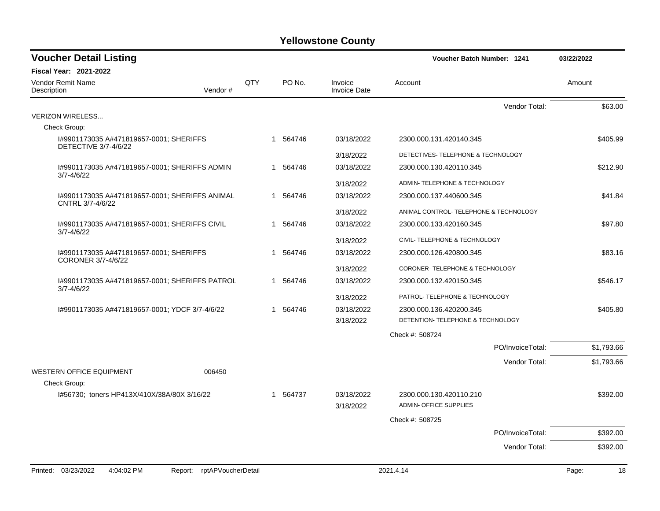| <b>Voucher Detail Listing</b>                                      |                               |     |              |                                | <b>Voucher Batch Number: 1241</b>                        |                  | 03/22/2022  |
|--------------------------------------------------------------------|-------------------------------|-----|--------------|--------------------------------|----------------------------------------------------------|------------------|-------------|
| Fiscal Year: 2021-2022                                             |                               |     |              |                                |                                                          |                  |             |
| Vendor Remit Name<br>Description                                   | Vendor#                       | QTY | PO No.       | Invoice<br><b>Invoice Date</b> | Account                                                  |                  | Amount      |
|                                                                    |                               |     |              |                                |                                                          | Vendor Total:    | \$63.00     |
| <b>VERIZON WIRELESS</b>                                            |                               |     |              |                                |                                                          |                  |             |
| Check Group:                                                       |                               |     |              |                                |                                                          |                  |             |
| I#9901173035 A#471819657-0001; SHERIFFS<br>DETECTIVE 3/7-4/6/22    |                               |     | 1 564746     | 03/18/2022                     | 2300.000.131.420140.345                                  |                  | \$405.99    |
|                                                                    |                               |     |              | 3/18/2022                      | DETECTIVES- TELEPHONE & TECHNOLOGY                       |                  |             |
| 1#9901173035 A#471819657-0001; SHERIFFS ADMIN<br>$3/7 - 4/6/22$    |                               |     | 1 564746     | 03/18/2022                     | 2300.000.130.420110.345                                  |                  | \$212.90    |
|                                                                    |                               |     |              | 3/18/2022                      | ADMIN-TELEPHONE & TECHNOLOGY                             |                  |             |
| 1#9901173035 A#471819657-0001; SHERIFFS ANIMAL<br>CNTRL 3/7-4/6/22 |                               |     | 1 564746     | 03/18/2022                     | 2300.000.137.440600.345                                  |                  | \$41.84     |
|                                                                    |                               |     |              | 3/18/2022                      | ANIMAL CONTROL- TELEPHONE & TECHNOLOGY                   |                  |             |
| 1#9901173035 A#471819657-0001; SHERIFFS CIVIL<br>$3/7 - 4/6/22$    |                               |     | 1 564746     | 03/18/2022                     | 2300.000.133.420160.345                                  |                  | \$97.80     |
|                                                                    |                               |     |              | 3/18/2022                      | CIVIL- TELEPHONE & TECHNOLOGY                            |                  |             |
| 1#9901173035 A#471819657-0001; SHERIFFS<br>CORONER 3/7-4/6/22      |                               |     | 1 564746     | 03/18/2022                     | 2300.000.126.420800.345                                  |                  | \$83.16     |
|                                                                    |                               |     |              | 3/18/2022                      | CORONER- TELEPHONE & TECHNOLOGY                          |                  |             |
| I#9901173035 A#471819657-0001; SHERIFFS PATROL<br>$3/7 - 4/6/22$   |                               |     | 1 564746     | 03/18/2022                     | 2300.000.132.420150.345                                  |                  | \$546.17    |
|                                                                    |                               |     |              | 3/18/2022                      | PATROL- TELEPHONE & TECHNOLOGY                           |                  |             |
| I#9901173035 A#471819657-0001; YDCF 3/7-4/6/22                     |                               |     | 564746<br>-1 | 03/18/2022                     | 2300.000.136.420200.345                                  |                  | \$405.80    |
|                                                                    |                               |     |              | 3/18/2022                      | DETENTION- TELEPHONE & TECHNOLOGY                        |                  |             |
|                                                                    |                               |     |              |                                | Check #: 508724                                          |                  |             |
|                                                                    |                               |     |              |                                |                                                          | PO/InvoiceTotal: | \$1,793.66  |
|                                                                    |                               |     |              |                                |                                                          | Vendor Total:    | \$1,793.66  |
| <b>WESTERN OFFICE EQUIPMENT</b>                                    | 006450                        |     |              |                                |                                                          |                  |             |
| Check Group:                                                       |                               |     |              |                                |                                                          |                  |             |
| I#56730; toners HP413X/410X/38A/80X 3/16/22                        |                               |     | 1 564737     | 03/18/2022<br>3/18/2022        | 2300.000.130.420110.210<br><b>ADMIN- OFFICE SUPPLIES</b> |                  | \$392.00    |
|                                                                    |                               |     |              |                                | Check #: 508725                                          |                  |             |
|                                                                    |                               |     |              |                                |                                                          | PO/InvoiceTotal: | \$392.00    |
|                                                                    |                               |     |              |                                |                                                          | Vendor Total:    | \$392.00    |
|                                                                    |                               |     |              |                                |                                                          |                  |             |
| Printed: 03/23/2022<br>4:04:02 PM                                  | rptAPVoucherDetail<br>Report: |     |              |                                | 2021.4.14                                                |                  | 18<br>Page: |